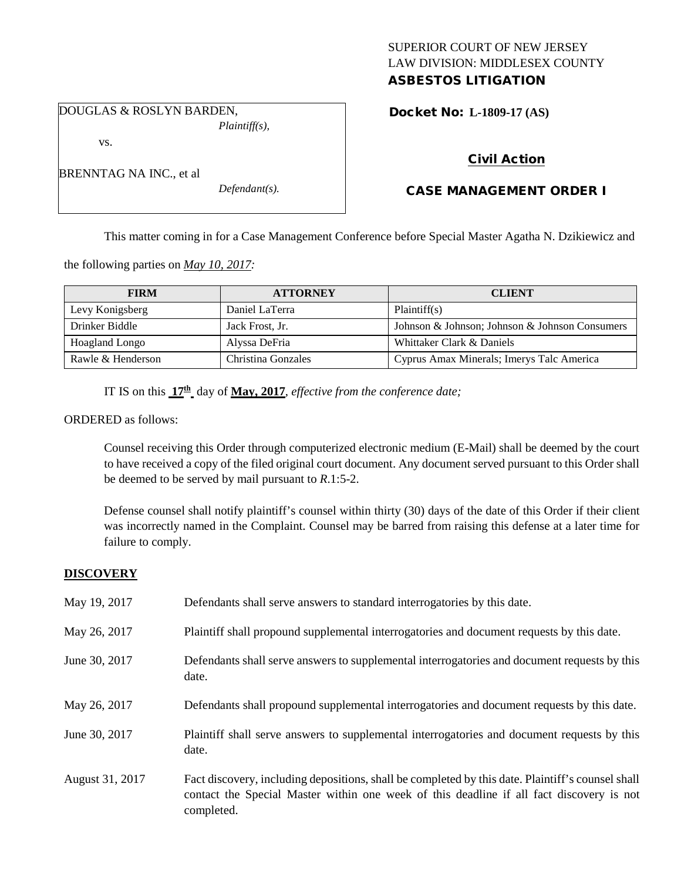## SUPERIOR COURT OF NEW JERSEY LAW DIVISION: MIDDLESEX COUNTY ASBESTOS LITIGATION

DOUGLAS & ROSLYN BARDEN, *Plaintiff(s),*

vs.

BRENNTAG NA INC., et al

Docket No: **L-1809-17 (AS)** 

# Civil Action

# CASE MANAGEMENT ORDER I

This matter coming in for a Case Management Conference before Special Master Agatha N. Dzikiewicz and

the following parties on *May 10, 2017:*

| <b>FIRM</b>       | <b>ATTORNEY</b>    | <b>CLIENT</b>                                  |
|-------------------|--------------------|------------------------------------------------|
| Levy Konigsberg   | Daniel LaTerra     | Plaintiff(s)                                   |
| Drinker Biddle    | Jack Frost, Jr.    | Johnson & Johnson; Johnson & Johnson Consumers |
| Hoagland Longo    | Alyssa DeFria      | Whittaker Clark & Daniels                      |
| Rawle & Henderson | Christina Gonzales | Cyprus Amax Minerals; Imerys Talc America      |

IT IS on this **17th** day of **May, 2017**, *effective from the conference date;*

*Defendant(s).*

ORDERED as follows:

Counsel receiving this Order through computerized electronic medium (E-Mail) shall be deemed by the court to have received a copy of the filed original court document. Any document served pursuant to this Order shall be deemed to be served by mail pursuant to *R*.1:5-2.

Defense counsel shall notify plaintiff's counsel within thirty (30) days of the date of this Order if their client was incorrectly named in the Complaint. Counsel may be barred from raising this defense at a later time for failure to comply.

## **DISCOVERY**

| May 19, 2017    | Defendants shall serve answers to standard interrogatories by this date.                                                                                                                                    |
|-----------------|-------------------------------------------------------------------------------------------------------------------------------------------------------------------------------------------------------------|
| May 26, 2017    | Plaintiff shall propound supplemental interrogatories and document requests by this date.                                                                                                                   |
| June 30, 2017   | Defendants shall serve answers to supplemental interrogatories and document requests by this<br>date.                                                                                                       |
| May 26, 2017    | Defendants shall propound supplemental interrogatories and document requests by this date.                                                                                                                  |
| June 30, 2017   | Plaintiff shall serve answers to supplemental interrogatories and document requests by this<br>date.                                                                                                        |
| August 31, 2017 | Fact discovery, including depositions, shall be completed by this date. Plaintiff's counsel shall<br>contact the Special Master within one week of this deadline if all fact discovery is not<br>completed. |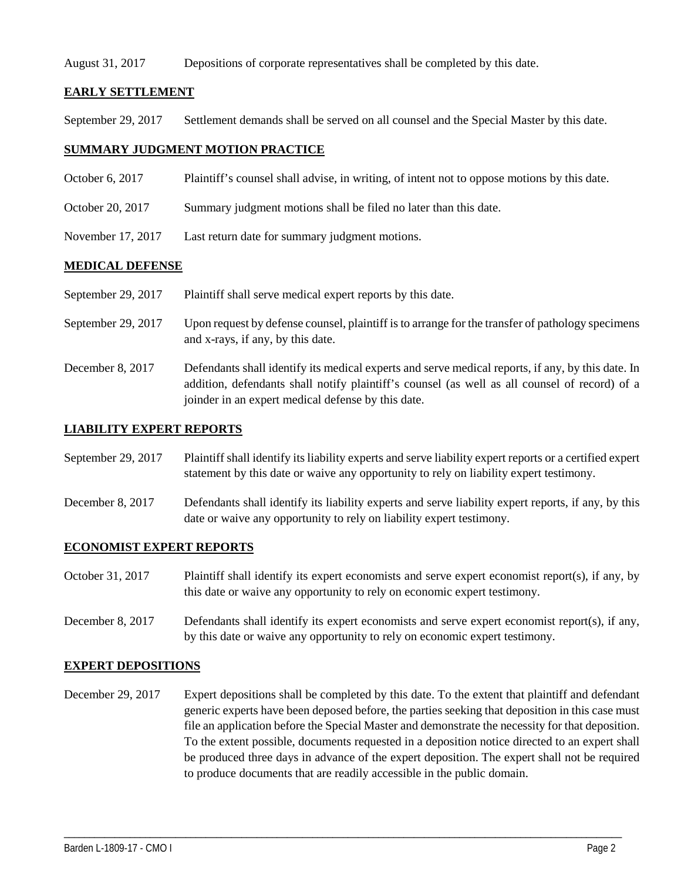#### August 31, 2017 Depositions of corporate representatives shall be completed by this date.

## **EARLY SETTLEMENT**

September 29, 2017 Settlement demands shall be served on all counsel and the Special Master by this date.

### **SUMMARY JUDGMENT MOTION PRACTICE**

- October 6, 2017 Plaintiff's counsel shall advise, in writing, of intent not to oppose motions by this date.
- October 20, 2017 Summary judgment motions shall be filed no later than this date.
- November 17, 2017 Last return date for summary judgment motions.

### **MEDICAL DEFENSE**

- September 29, 2017 Plaintiff shall serve medical expert reports by this date.
- September 29, 2017 Upon request by defense counsel, plaintiff is to arrange for the transfer of pathology specimens and x-rays, if any, by this date.
- December 8, 2017 Defendants shall identify its medical experts and serve medical reports, if any, by this date. In addition, defendants shall notify plaintiff's counsel (as well as all counsel of record) of a joinder in an expert medical defense by this date.

#### **LIABILITY EXPERT REPORTS**

September 29, 2017 Plaintiff shall identify its liability experts and serve liability expert reports or a certified expert statement by this date or waive any opportunity to rely on liability expert testimony.

December 8, 2017 Defendants shall identify its liability experts and serve liability expert reports, if any, by this date or waive any opportunity to rely on liability expert testimony.

#### **ECONOMIST EXPERT REPORTS**

- October 31, 2017 Plaintiff shall identify its expert economists and serve expert economist report(s), if any, by this date or waive any opportunity to rely on economic expert testimony.
- December 8, 2017 Defendants shall identify its expert economists and serve expert economist report(s), if any, by this date or waive any opportunity to rely on economic expert testimony.

#### **EXPERT DEPOSITIONS**

December 29, 2017 Expert depositions shall be completed by this date. To the extent that plaintiff and defendant generic experts have been deposed before, the parties seeking that deposition in this case must file an application before the Special Master and demonstrate the necessity for that deposition. To the extent possible, documents requested in a deposition notice directed to an expert shall be produced three days in advance of the expert deposition. The expert shall not be required to produce documents that are readily accessible in the public domain.

\_\_\_\_\_\_\_\_\_\_\_\_\_\_\_\_\_\_\_\_\_\_\_\_\_\_\_\_\_\_\_\_\_\_\_\_\_\_\_\_\_\_\_\_\_\_\_\_\_\_\_\_\_\_\_\_\_\_\_\_\_\_\_\_\_\_\_\_\_\_\_\_\_\_\_\_\_\_\_\_\_\_\_\_\_\_\_\_\_\_\_\_\_\_\_\_\_\_\_\_\_\_\_\_\_\_\_\_\_\_